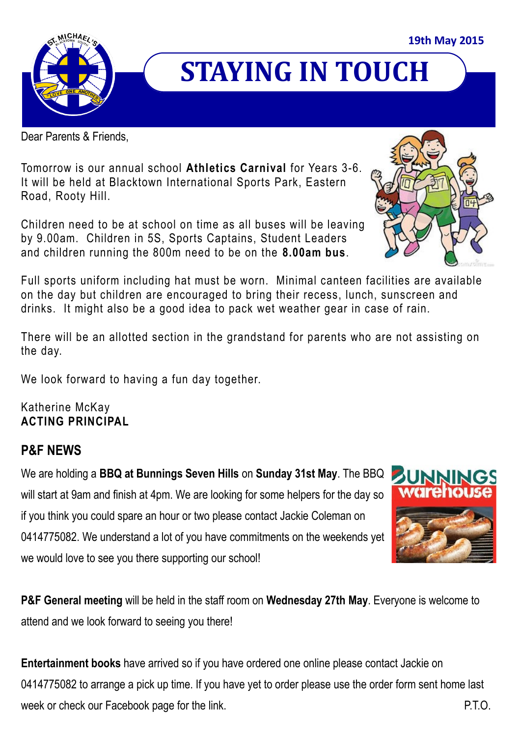

## **STAYING IN TOUCH**

Dear Parents & Friends,

Tomorrow is our annual school **Athletics Carnival** for Years 3-6. It will be held at Blacktown International Sports Park, Eastern Road, Rooty Hill.

Children need to be at school on time as all buses will be leaving by 9.00am. Children in 5S, Sports Captains, Student Leaders and children running the 800m need to be on the **8.00am bus**.

Full sports uniform including hat must be worn. Minimal canteen facilities are available on the day but children are encouraged to bring their recess, lunch, sunscreen and drinks. It might also be a good idea to pack wet weather gear in case of rain.

There will be an allotted section in the grandstand for parents who are not assisting on the day.

We look forward to having a fun day together.

Katherine McKay **ACTING PRINCIPAL**

## **P&F NEWS**

We are holding a **BBQ at Bunnings Seven Hills** on **Sunday 31st May**. The BBQ will start at 9am and finish at 4pm. We are looking for some helpers for the day so if you think you could spare an hour or two please contact Jackie Coleman on 0414775082. We understand a lot of you have commitments on the weekends yet we would love to see you there supporting our school!



**P&F General meeting** will be held in the staff room on **Wednesday 27th May**. Everyone is welcome to attend and we look forward to seeing you there!

**Entertainment books** have arrived so if you have ordered one online please contact Jackie on 0414775082 to arrange a pick up time. If you have yet to order please use the order form sent home last week or check our Facebook page for the link. The state of the state of the state  $P.T.O.$